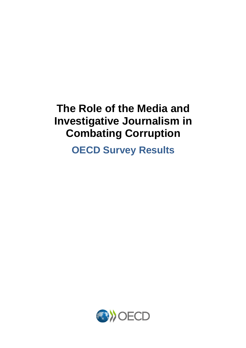# **The Role of the Media and Investigative Journalism in Combating Corruption**

**OECD Survey Results**

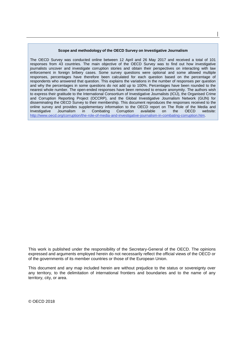#### **Scope and methodology of the OECD Survey on Investigative Journalism**

**│** 

The OECD Survey was conducted online between 12 April and 26 May 2017 and received a total of 101 responses from 43 countries. The main objective of the OECD Survey was to find out how investigative journalists uncover and investigate corruption stories and obtain their perspectives on interacting with law enforcement in foreign bribery cases. Some survey questions were optional and some allowed multiple responses, percentages have therefore been calculated for each question based on the percentage of respondents who answered that question. This explains the variations in the number of responses per question and why the percentages in some questions do not add up to 100%. Percentages have been rounded to the nearest whole number. The open-ended responses have been removed to ensure anonymity. The authors wish to express their gratitude to the International Consortium of Investigative Journalists (ICIJ), the Organised Crime and Corruption Reporting Project (OCCRP), and the Global Investigative Journalism Network (GIJN) for disseminating the OECD Survey to their membership. This document reproduces the responses received to the online survey and provides supplementary information to the OECD report on The Role of the Media and Investigative Journalism in Combating Corruption available on the OECD website: Investigative Journalism in Combating Corruption available on the OECD website: [http://www.oecd.org/corruption/the-role-of-media-and-investigative-journalism-in-combating-corruption.htm.](http://www.oecd.org/corruption/the-role-of-media-and-investigative-journalism-in-combating-corruption.htm)

This work is published under the responsibility of the Secretary-General of the OECD. The opinions expressed and arguments employed herein do not necessarily reflect the official views of the OECD or of the governments of its member countries or those of the European Union.

This document and any map included herein are without prejudice to the status or sovereignty over any territory, to the delimitation of international frontiers and boundaries and to the name of any territory, city, or area.

© OECD 2018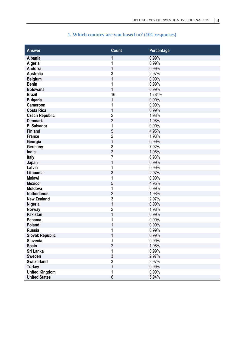| <b>Answer</b>          | <b>Count</b>   | Percentage |
|------------------------|----------------|------------|
|                        |                |            |
| <b>Albania</b>         | 1              | 0.99%      |
| Algeria                | 1              | 0.99%      |
| Andorra                | 1              | 0.99%      |
| <b>Australia</b>       | 3              | 2.97%      |
| <b>Belgium</b>         | 1              | 0.99%      |
| <b>Benin</b>           | 1              | 0.99%      |
| <b>Botswana</b>        | 1              | 0.99%      |
| <b>Brazil</b>          | 16             | 15.84%     |
| <b>Bulgaria</b>        | 1              | 0.99%      |
| Cameroon               | 1              | 0.99%      |
| <b>Costa Rica</b>      | 1              | 0.99%      |
| <b>Czech Republic</b>  | $\overline{c}$ | 1.98%      |
| <b>Denmark</b>         | $\overline{2}$ | 1.98%      |
| <b>El Salvador</b>     | 1              | 0.99%      |
| <b>Finland</b>         | 5              | 4.95%      |
| <b>France</b>          | $\overline{c}$ | 1.98%      |
| Georgia                | $\mathbf{1}$   | 0.99%      |
| Germany                | 8              | 7.92%      |
| India                  | $\overline{2}$ | 1.98%      |
| <b>Italy</b>           | 7              | 6.93%      |
| Japan                  | 1              | 0.99%      |
| Latvia                 | 1              | 0.99%      |
| Lithuania              | 3              | 2.97%      |
| <b>Malawi</b>          | 1              | 0.99%      |
| <b>Mexico</b>          | 5              | 4.95%      |
| Moldova                | 1              | 0.99%      |
| <b>Netherlands</b>     | $\overline{2}$ | 1.98%      |
| <b>New Zealand</b>     | 3              | 2.97%      |
| Nigeria                | 1              | 0.99%      |
| Norway                 | $\overline{c}$ | 1.98%      |
| <b>Pakistan</b>        | 1              | 0.99%      |
| Panama                 | 1              | 0.99%      |
| Poland                 | 1              | 0.99%      |
| <b>Russia</b>          |                | 0.99%      |
| <b>Slovak Republic</b> |                | 0.99%      |
| Slovenia               |                | 0.99%      |
| Spain                  | $\overline{2}$ | 1.98%      |
| Sri Lanka              | 1              | 0.99%      |
| <b>Sweden</b>          | 3              | 2.97%      |
| <b>Switzerland</b>     | $\overline{3}$ | 2.97%      |
| <b>Turkey</b>          | 1              | 0.99%      |
| <b>United Kingdom</b>  | 1              | 0.99%      |
| <b>United States</b>   | 6              | 5.94%      |

## **1. Which country are you based in? (101 responses)**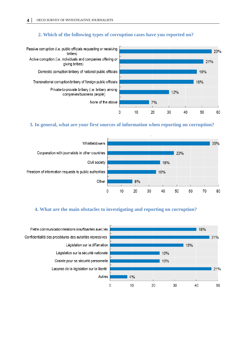#### **2. Which of the following types of corruption cases have you reported on?**



#### **3. In general, what are your first sources of information when reporting on corruption?**



#### **4. What are the main obstacles to investigating and reporting on corruption?**

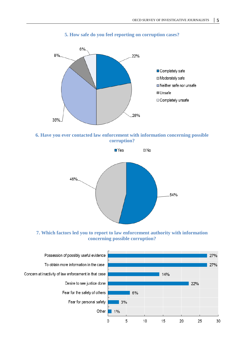

#### **5. How safe do you feel reporting on corruption cases?**





**7. Which factors led you to report to law enforcement authority with information concerning possible corruption?**

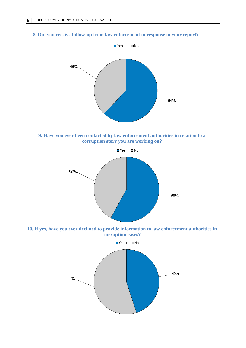### **8. Did you receive follow-up from law enforcement in response to your report?**



**9. Have you ever been contacted by law enforcement authorities in relation to a corruption story you are working on?** 



**10. If yes, have you ever declined to provide information to law enforcement authorities in corruption cases?**

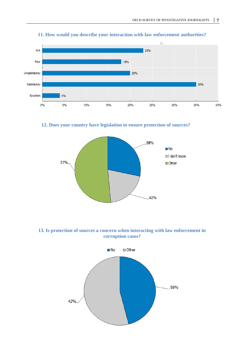

## **11. How would you describe your interaction with law enforcement authorities?**

**12. Does your country have legislation to ensure protection of sources?**